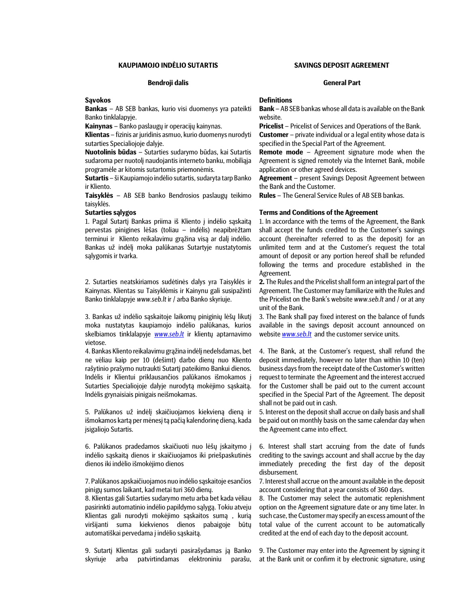# KAUPIAMOJO INDĖLIO SUTARTIS SAVINGS DEPOSIT AGREEMENT

### Bendroji dalis General Part

### **Savokos**

Bankas – AB SEB bankas, kurio visi duomenys yra pateikti Banko tinklalapyje.

Kainynas – Banko paslaugų ir operacijų kainynas.

Klientas – fizinis ar juridinis asmuo, kurio duomenys nurodyti sutarties Specialiojoje dalyje.

Nuotolinis būdas – Sutarties sudarymo būdas, kai Sutartis sudaroma per nuotolį naudojantis interneto banku, mobiliąja programėle ar kitomis sutartomis priemonėmis.

Sutartis – ši Kaupiamojo indėlio sutartis, sudaryta tarp Banko ir Kliento.

Taisyklės – AB SEB banko Bendrosios paslaugų teikimo taisyklės.

1. Pagal Sutartį Bankas priima iš Kliento į indėlio sąskaitą pervestas pinigines lėšas (toliau – indėlis) neapibrėžtam terminui ir Kliento reikalavimu grąžina visą ar dalį indėlio. Bankas už indėlį moka palūkanas Sutartyje nustatytomis sąlygomis ir tvarka.

2. Sutarties neatskiriamos sudėtinės dalys yra Taisyklės ir Kainynas. Klientas su Taisyklėmis ir Kainynu gali susipažinti Banko tinklalapyje www.seb.lt ir / arba Banko skyriuje.

3. Bankas už indėlio sąskaitoje laikomų piniginių lėšų likutį moka nustatytas kaupiamojo indėlio palūkanas, kurios skelbiamos tinklalapyje **www.seb.lt** ir klientų aptarnavimo vietose.

4. Bankas Kliento reikalavimu grąžina indėlį nedelsdamas, bet ne vėliau kaip per 10 (dešimt) darbo dienų nuo Kliento rašytinio prašymo nutraukti Sutartį pateikimo Bankui dienos. Indėlis ir Klientui priklausančios palūkanos išmokamos į Sutarties Specialiojoje dalyje nurodytą mokėjimo sąskaitą. Indėlis grynaisiais pinigais neišmokamas.

5. Palūkanos už indėlį skaičiuojamos kiekvieną dieną ir išmokamos kartą per mėnesį tą pačią kalendorinę dieną, kada įsigaliojo Sutartis.

6. Palūkanos pradedamos skaičiuoti nuo lėšų įskaitymo į indėlio sąskaitą dienos ir skaičiuojamos iki priešpaskutinės dienos iki indėlio išmokėjimo dienos

7. Palūkanos apskaičiuojamos nuo indėlio sąskaitoje esančios pinigų sumos laikant, kad metai turi 360 dienų.

8. Klientas gali Sutarties sudarymo metu arba bet kada vėliau pasirinkti automatinio indėlio papildymo sąlygą. Tokiu atveju Klientas gali nurodyti mokėjimo sąskaitos sumą , kurią viršijanti suma kiekvienos dienos pabaigoje būtų automatiškai pervedama į indėlio sąskaitą.

9. Sutartį Klientas gali sudaryti pasirašydamas ją Banko skyriuje arba patvirtindamas elektroniniu parašu,

## **Definitions**

Bank – AB SEB bankas whose all data is available on the Bank website.

Pricelist – Pricelist of Services and Operations of the Bank.

Customer – private individual or a legal entity whose data is specified in the Special Part of the Agreement.

Remote mode – Agreement signature mode when the Agreement is signed remotely via the Internet Bank, mobile application or other agreed devices.

Agreement – present Savings Deposit Agreement between the Bank and the Customer.

Rules – The General Service Rules of AB SEB bankas.

## Sutarties sąlygos Terms and Conditions of the Agreement

1. In accordance with the terms of the Agreement, the Bank shall accept the funds credited to the Customer's savings account (hereinafter referred to as the deposit) for an unlimited term and at the Customer's request the total amount of deposit or any portion hereof shall be refunded following the terms and procedure established in the Agreement.

2. The Rules and the Pricelist shall form an integral part of the Agreement. The Customer may familiarize with the Rules and the Pricelist on the Bank's website www.seb.lt and / or at any unit of the Bank.

3. The Bank shall pay fixed interest on the balance of funds available in the savings deposit account announced on website **www.seb.lt** and the customer service units.

4. The Bank, at the Customer's request, shall refund the deposit immediately, however no later than within 10 (ten) business days from the receipt date of the Customer's written request to terminate the Agreement and the interest accrued for the Customer shall be paid out to the current account specified in the Special Part of the Agreement. The deposit shall not be paid out in cash.

5. Interest on the deposit shall accrue on daily basis and shall be paid out on monthly basis on the same calendar day when the Agreement came into effect.

6. Interest shall start accruing from the date of funds crediting to the savings account and shall accrue by the day immediately preceding the first day of the deposit disbursement.

7. Interest shall accrue on the amount available in the deposit account considering that a year consists of 360 days.

8. The Customer may select the automatic replenishment option on the Agreement signature date or any time later. In such case, the Customer may specify an excess amount of the total value of the current account to be automatically credited at the end of each day to the deposit account.

9. The Customer may enter into the Agreement by signing it at the Bank unit or confirm it by electronic signature, using